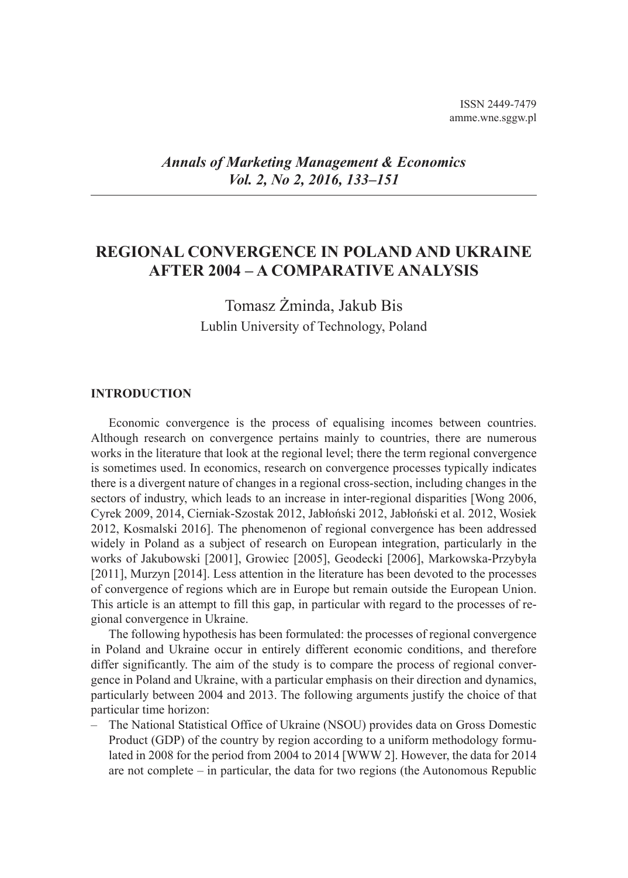## *Annals of Marketing Management & Economics Vol. 2, No 2, 2016, 133–151*

# **REGIONAL CONVERGENCE IN POLAND AND UKRAINE AFTER 2004 – A COMPARATIVE ANALYSIS**

Tomasz Żminda, Jakub Bis Lublin University of Technology, Poland

#### **INTRODUCTION**

Economic convergence is the process of equalising incomes between countries. Although research on convergence pertains mainly to countries, there are numerous works in the literature that look at the regional level; there the term regional convergence is sometimes used. In economics, research on convergence processes typically indicates there is a divergent nature of changes in a regional cross-section, including changes in the sectors of industry, which leads to an increase in inter-regional disparities [Wong 2006, Cyrek 2009, 2014, Cierniak-Szostak 2012, Jabłoński 2012, Jabłoński et al. 2012, Wosiek 2012, Kosmalski 2016]. The phenomenon of regional convergence has been addressed widely in Poland as a subject of research on European integration, particularly in the works of Jakubowski [2001], Growiec [2005], Geodecki [2006], Markowska-Przybyła [2011], Murzyn [2014]. Less attention in the literature has been devoted to the processes of convergence of regions which are in Europe but remain outside the European Union. This article is an attempt to fill this gap, in particular with regard to the processes of regional convergence in Ukraine.

The following hypothesis has been formulated: the processes of regional convergence in Poland and Ukraine occur in entirely different economic conditions, and therefore differ significantly. The aim of the study is to compare the process of regional convergence in Poland and Ukraine, with a particular emphasis on their direction and dynamics, particularly between 2004 and 2013. The following arguments justify the choice of that particular time horizon:

The National Statistical Office of Ukraine (NSOU) provides data on Gross Domestic Product (GDP) of the country by region according to a uniform methodology formulated in 2008 for the period from 2004 to 2014 [WWW 2]. However, the data for 2014 are not complete – in particular, the data for two regions (the Autonomous Republic –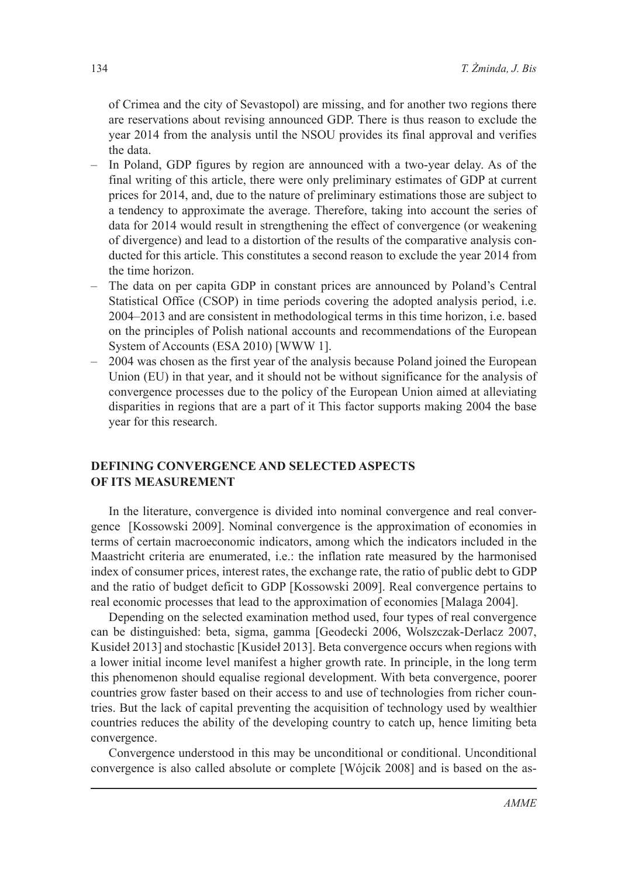of Crimea and the city of Sevastopol) are missing, and for another two regions there are reservations about revising announced GDP. There is thus reason to exclude the year 2014 from the analysis until the NSOU provides its final approval and verifies the data.

- In Poland, GDP figures by region are announced with a two-year delay. As of the final writing of this article, there were only preliminary estimates of GDP at current prices for 2014, and, due to the nature of preliminary estimations those are subject to a tendency to approximate the average. Therefore, taking into account the series of data for 2014 would result in strengthening the effect of convergence (or weakening of divergence) and lead to a distortion of the results of the comparative analysis conducted for this article. This constitutes a second reason to exclude the year 2014 from the time horizon. –
- The data on per capita GDP in constant prices are announced by Poland's Central Statistical Office (CSOP) in time periods covering the adopted analysis period, i.e. 2004–2013 and are consistent in methodological terms in this time horizon, i.e. based on the principles of Polish national accounts and recommendations of the European System of Accounts (ESA 2010) [WWW 1].
- 2004 was chosen as the first year of the analysis because Poland joined the European Union (EU) in that year, and it should not be without significance for the analysis of convergence processes due to the policy of the European Union aimed at alleviating disparities in regions that are a part of it This factor supports making 2004 the base year for this research. –

### **DEFINING CONVERGENCE AND SELECTED ASPECTS OF ITS MEASUREMENT**

In the literature, convergence is divided into nominal convergence and real convergence [Kossowski 2009]. Nominal convergence is the approximation of economies in terms of certain macroeconomic indicators, among which the indicators included in the Maastricht criteria are enumerated, i.e.: the inflation rate measured by the harmonised index of consumer prices, interest rates, the exchange rate, the ratio of public debt to GDP and the ratio of budget deficit to GDP [Kossowski 2009]. Real convergence pertains to real economic processes that lead to the approximation of economies [Malaga 2004].

Depending on the selected examination method used, four types of real convergence can be distinguished: beta, sigma, gamma [Geodecki 2006, Wolszczak-Derlacz 2007, Kusideł 2013] and stochastic [Kusideł 2013]. Beta convergence occurs when regions with a lower initial income level manifest a higher growth rate. In principle, in the long term this phenomenon should equalise regional development. With beta convergence, poorer countries grow faster based on their access to and use of technologies from richer countries. But the lack of capital preventing the acquisition of technology used by wealthier countries reduces the ability of the developing country to catch up, hence limiting beta convergence.

Convergence understood in this may be unconditional or conditional. Unconditional convergence is also called absolute or complete [Wójcik 2008] and is based on the as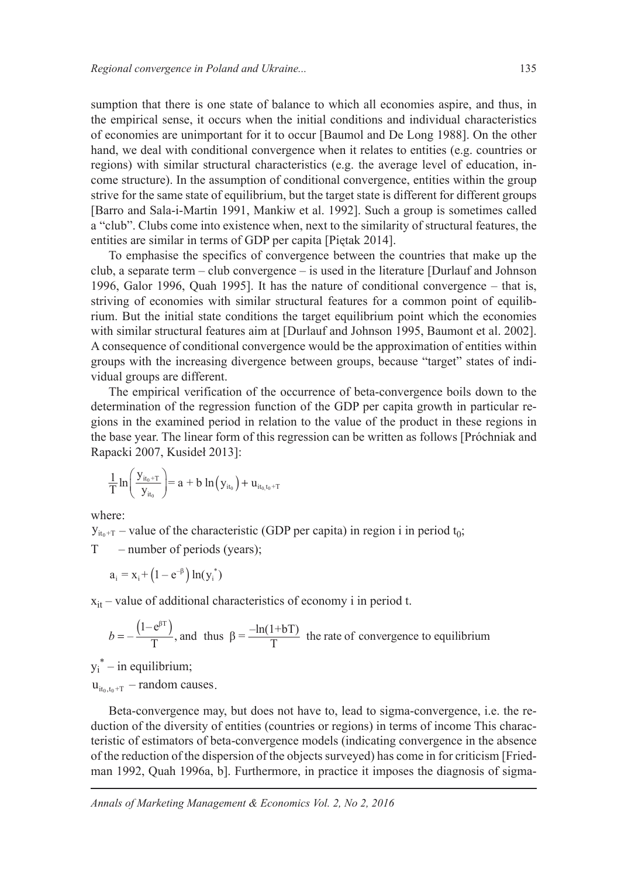sumption that there is one state of balance to which all economies aspire, and thus, in the empirical sense, it occurs when the initial conditions and individual characteristics of economies are unimportant for it to occur [Baumol and De Long 1988]. On the other hand, we deal with conditional convergence when it relates to entities (e.g. countries or regions) with similar structural characteristics (e.g. the average level of education, income structure). In the assumption of conditional convergence, entities within the group strive for the same state of equilibrium, but the target state is different for different groups [Barro and Sala-i-Martin 1991, Mankiw et al. 1992]. Such a group is sometimes called a "club". Clubs come into existence when, next to the similarity of structural features, the entities are similar in terms of GDP per capita [Piętak 2014].

To emphasise the specifics of convergence between the countries that make up the club, a separate term – club convergence – is used in the literature [Durlauf and Johnson 1996, Galor 1996, Quah 1995]. It has the nature of conditional convergence – that is, striving of economies with similar structural features for a common point of equilibrium. But the initial state conditions the target equilibrium point which the economies with similar structural features aim at [Durlauf and Johnson 1995, Baumont et al. 2002]. A consequence of conditional convergence would be the approximation of entities within groups with the increasing divergence between groups, because "target" states of individual groups are different.

The empirical verification of the occurrence of beta-convergence boils down to the determination of the regression function of the GDP per capita growth in particular regions in the examined period in relation to the value of the product in these regions in the base year. The linear form of this regression can be written as follows [Próchniak and Rapacki 2007, Kusideł 2013]:

$$
\frac{1}{T} \ln \left( \frac{y_{it_0+T}}{y_{it_0}} \right) = a + b \ln \left( y_{it_0} \right) + u_{it_0,t_0+T}
$$

where:

 $y_{it_0+T}$  – value of the characteristic (GDP per capita) in region i in period  $t_0$ ;

T – number of periods (years);

$$
a_i = x_i + (1 - e^{-\beta}) \ln(y_i^*)
$$

 $x_{it}$  – value of additional characteristics of economy i in period t.

$$
b = -\frac{(1 - e^{\beta T})}{T}
$$
, and thus  $\beta = \frac{-\ln(1 + bT)}{T}$  the rate of convergence to equilibrium

 $y_i^*$  – in equilibrium;

 $u_{it_0,t_0+T}$  – random causes.

Beta-convergence may, but does not have to, lead to sigma-convergence, i.e. the reduction of the diversity of entities (countries or regions) in terms of income This characteristic of estimators of beta-convergence models (indicating convergence in the absence of the reduction of the dispersion of the objects surveyed) has come in for criticism [Friedman 1992, Quah 1996a, b]. Furthermore, in practice it imposes the diagnosis of sigma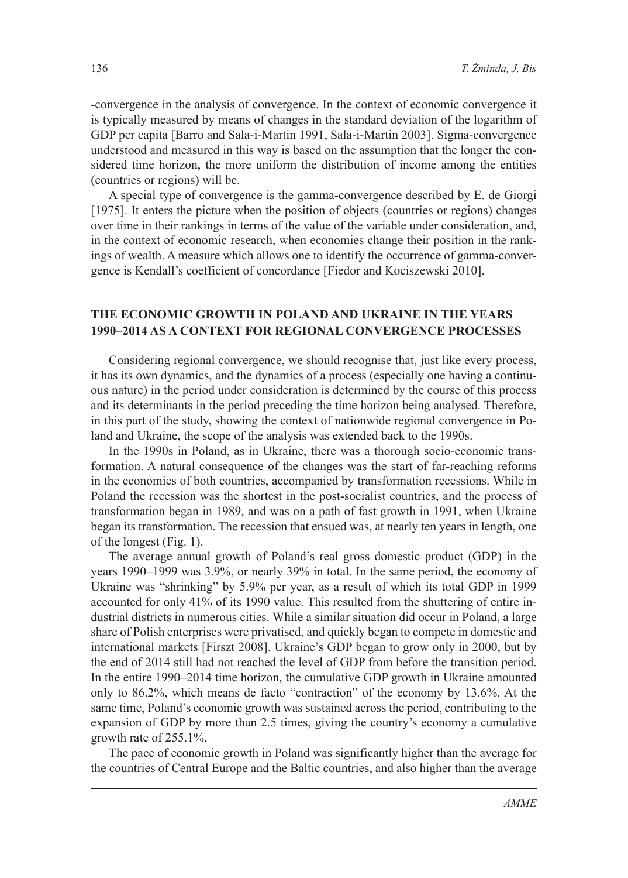-convergence in the analysis of convergence. In the context of economic convergence it is typically measured by means of changes in the standard deviation of the logarithm of GDP per capita [Barro and Sala-i-Martin 1991, Sala-i-Martin 2003]. Sigma-convergence understood and measured in this way is based on the assumption that the longer the considered time horizon, the more uniform the distribution of income among the entities (countries or regions) will be.

A special type of convergence is the gamma-convergence described by E. de Giorgi [1975]. It enters the picture when the position of objects (countries or regions) changes over time in their rankings in terms of the value of the variable under consideration, and, in the context of economic research, when economies change their position in the rankings of wealth. A measure which allows one to identify the occurrence of gamma-convergence is Kendall's coefficient of concordance [Fiedor and Kociszewski 2010].

## **THE ECONOMIC GROWTH IN POLAND AND UKRAINE IN THE YEARS 1990–2014 AS A CONTEXT FOR REGIONAL CONVERGENCE PROCESSES**

Considering regional convergence, we should recognise that, just like every process, it has its own dynamics, and the dynamics of a process (especially one having a continuous nature) in the period under consideration is determined by the course of this process and its determinants in the period preceding the time horizon being analysed. Therefore, in this part of the study, showing the context of nationwide regional convergence in Poland and Ukraine, the scope of the analysis was extended back to the 1990s.

In the 1990s in Poland, as in Ukraine, there was a thorough socio-economic transformation. A natural consequence of the changes was the start of far-reaching reforms in the economies of both countries, accompanied by transformation recessions. While in Poland the recession was the shortest in the post-socialist countries, and the process of transformation began in 1989, and was on a path of fast growth in 1991, when Ukraine began its transformation. The recession that ensued was, at nearly ten years in length, one of the longest (Fig. 1).

The average annual growth of Poland's real gross domestic product (GDP) in the years 1990–1999 was 3.9%, or nearly 39% in total. In the same period, the economy of Ukraine was "shrinking" by 5.9% per year, as a result of which its total GDP in 1999 accounted for only 41% of its 1990 value. This resulted from the shuttering of entire industrial districts in numerous cities. While a similar situation did occur in Poland, a large share of Polish enterprises were privatised, and quickly began to compete in domestic and international markets [Firszt 2008]. Ukraine's GDP began to grow only in 2000, but by the end of 2014 still had not reached the level of GDP from before the transition period. In the entire 1990–2014 time horizon, the cumulative GDP growth in Ukraine amounted only to 86.2%, which means de facto "contraction" of the economy by 13.6%. At the same time, Poland's economic growth was sustained across the period, contributing to the expansion of GDP by more than 2.5 times, giving the country's economy a cumulative growth rate of 255.1%.

The pace of economic growth in Poland was significantly higher than the average for the countries of Central Europe and the Baltic countries, and also higher than the average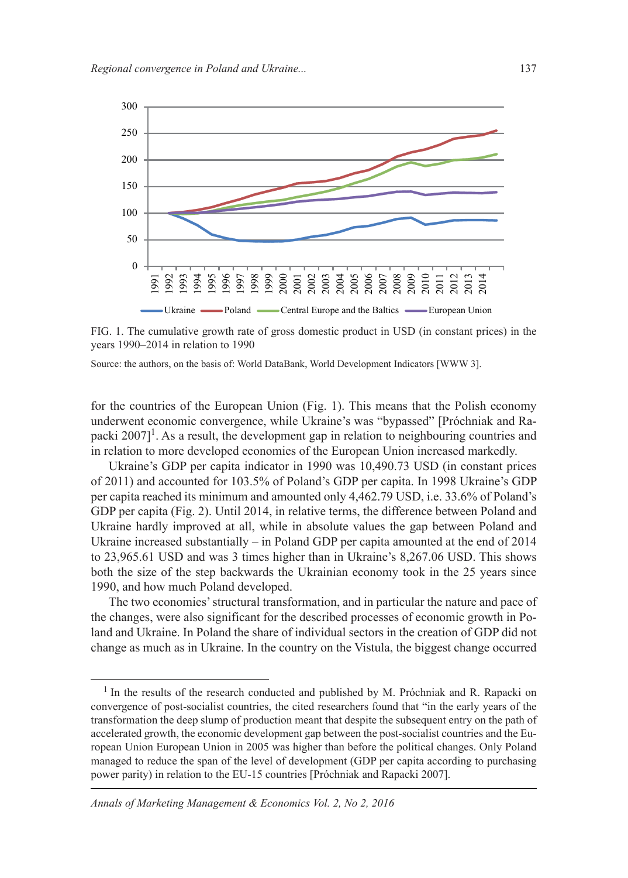

FIG. 1. The cumulative growth rate of gross domestic product in USD (in constant prices) in the years 1990–2014 in relation to 1990

Source: the authors, on the basis of: World DataBank, World Development Indicators [WWW 3].

for the countries of the European Union (Fig. 1). This means that the Polish economy underwent economic convergence, while Ukraine's was "bypassed" [Próchniak and Rapacki  $2007$ <sup>1</sup>. As a result, the development gap in relation to neighbouring countries and in relation to more developed economies of the European Union increased markedly.

Ukraine's GDP per capita indicator in 1990 was 10,490.73 USD (in constant prices of 2011) and accounted for 103.5% of Poland's GDP per capita. In 1998 Ukraine's GDP per capita reached its minimum and amounted only 4,462.79 USD, i.e. 33.6% of Poland's GDP per capita (Fig. 2). Until 2014, in relative terms, the difference between Poland and Ukraine hardly improved at all, while in absolute values the gap between Poland and Ukraine increased substantially – in Poland GDP per capita amounted at the end of 2014 to 23,965.61 USD and was 3 times higher than in Ukraine's 8,267.06 USD. This shows both the size of the step backwards the Ukrainian economy took in the 25 years since 1990, and how much Poland developed.

The two economies' structural transformation, and in particular the nature and pace of the changes, were also significant for the described processes of economic growth in Poland and Ukraine. In Poland the share of individual sectors in the creation of GDP did not change as much as in Ukraine. In the country on the Vistula, the biggest change occurred

<sup>&</sup>lt;sup>1</sup> In the results of the research conducted and published by M. Próchniak and R. Rapacki on convergence of post-socialist countries, the cited researchers found that "in the early years of the transformation the deep slump of production meant that despite the subsequent entry on the path of accelerated growth, the economic development gap between the post-socialist countries and the European Union European Union in 2005 was higher than before the political changes. Only Poland managed to reduce the span of the level of development (GDP per capita according to purchasing power parity) in relation to the EU-15 countries [Próchniak and Rapacki 2007].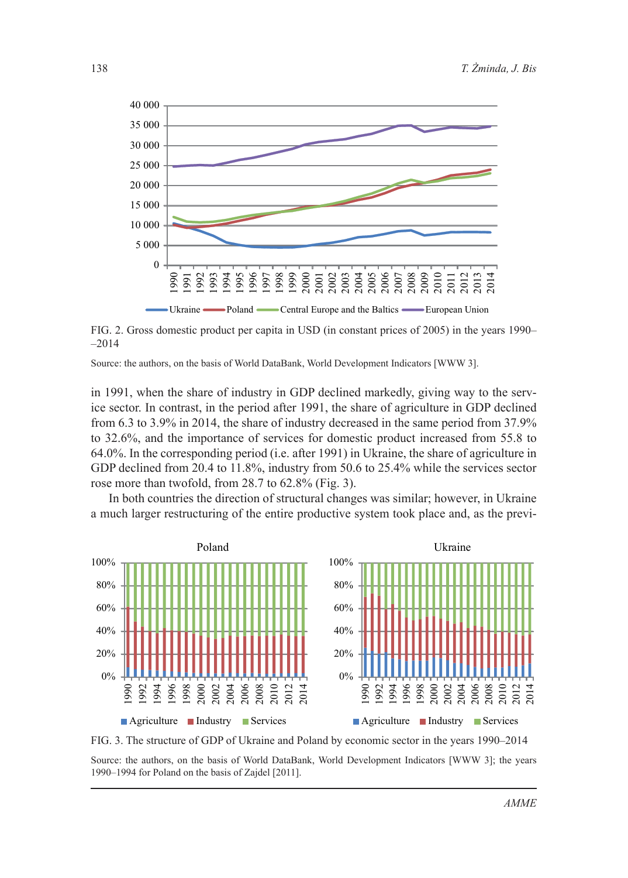

FIG. 2. Gross domestic product per capita in USD (in constant prices of 2005) in the years 1990– –2014

Source: the authors, on the basis of World DataBank, World Development Indicators [WWW 3].

in 1991, when the share of industry in GDP declined markedly, giving way to the service sector. In contrast, in the period after 1991, the share of agriculture in GDP declined from 6.3 to 3.9% in 2014, the share of industry decreased in the same period from 37.9% to 32.6%, and the importance of services for domestic product increased from 55.8 to 64.0%. In the corresponding period (i.e. after 1991) in Ukraine, the share of agriculture in GDP declined from 20.4 to 11.8%, industry from 50.6 to 25.4% while the services sector rose more than twofold, from 28.7 to 62.8% (Fig. 3).

In both countries the direction of structural changes was similar; however, in Ukraine a much larger restructuring of the entire productive system took place and, as the previ-



FIG. 3. The structure of GDP of Ukraine and Poland by economic sector in the years 1990–2014 Source: the authors, on the basis of World DataBank, World Development Indicators [WWW 3]; the years 1990–1994 for Poland on the basis of Zajdel [2011].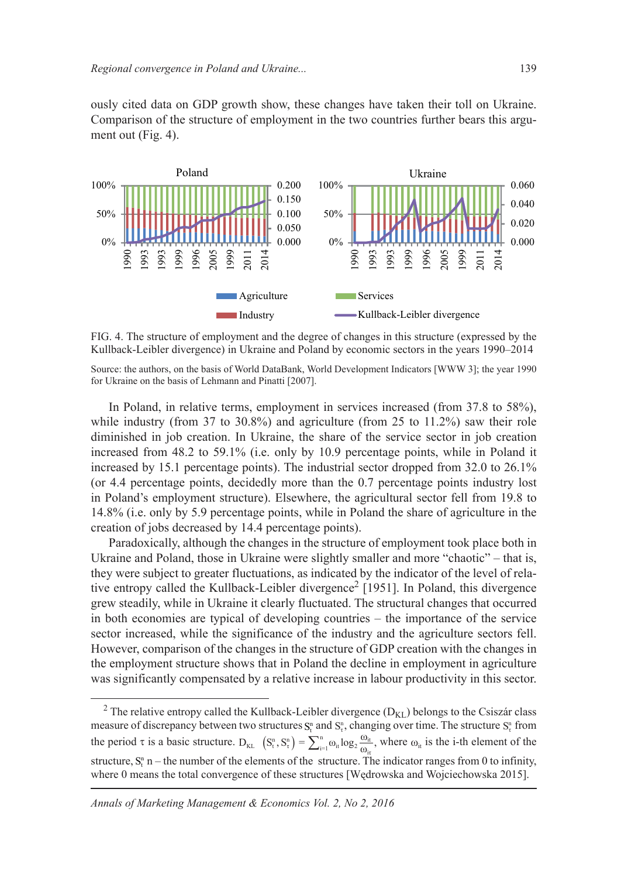ously cited data on GDP growth show, these changes have taken their toll on Ukraine. Comparison of the structure of employment in the two countries further bears this argument out (Fig. 4).



FIG. 4. The structure of employment and the degree of changes in this structure (expressed by the Kullback-Leibler divergence) in Ukraine and Poland by economic sectors in the years 1990–2014

Source: the authors, on the basis of World DataBank, World Development Indicators [WWW 3]; the year 1990 for Ukraine on the basis of Lehmann and Pinatti [2007].

In Poland, in relative terms, employment in services increased (from 37.8 to 58%), while industry (from 37 to 30.8%) and agriculture (from 25 to 11.2%) saw their role diminished in job creation. In Ukraine, the share of the service sector in job creation increased from 48.2 to 59.1% (i.e. only by 10.9 percentage points, while in Poland it increased by 15.1 percentage points). The industrial sector dropped from 32.0 to 26.1% (or 4.4 percentage points, decidedly more than the 0.7 percentage points industry lost in Poland's employment structure). Elsewhere, the agricultural sector fell from 19.8 to 14.8% (i.e. only by 5.9 percentage points, while in Poland the share of agriculture in the creation of jobs decreased by 14.4 percentage points).

Paradoxically, although the changes in the structure of employment took place both in Ukraine and Poland, those in Ukraine were slightly smaller and more "chaotic" – that is, they were subject to greater fluctuations, as indicated by the indicator of the level of relative entropy called the Kullback-Leibler divergence<sup>2</sup> [1951]. In Poland, this divergence grew steadily, while in Ukraine it clearly fluctuated. The structural changes that occurred in both economies are typical of developing countries – the importance of the service sector increased, while the significance of the industry and the agriculture sectors fell. However, comparison of the changes in the structure of GDP creation with the changes in the employment structure shows that in Poland the decline in employment in agriculture was significantly compensated by a relative increase in labour productivity in this sector.

<sup>&</sup>lt;sup>2</sup> The relative entropy called the Kullback-Leibler divergence  $(D_{KL})$  belongs to the Csiszár class measure of discrepancy between two structures  $S_t^n$  and  $S_t^n$ , changing over time. The structure  $S_t^n$  from the period  $\tau$  is a basic structure.  $D_{KL}$   $(S_t^n, S_t^n) = \sum_{i=1}^n \omega_{it} \log_2 \frac{\omega_{it}}{\omega_{it}}$  $D_{KL}$   $(S_t^n, S_t^n) = \sum_{i=1}^n \omega_{it} \log_2 \frac{\omega_{it}}{\omega_{it}}$ , where  $\omega_{it}$  is the i-th element of the structure,  $S_t^n$  n – the number of the elements of the structure. The indicator ranges from 0 to infinity, where 0 means the total convergence of these structures [Wedrowska and Wojciechowska 2015].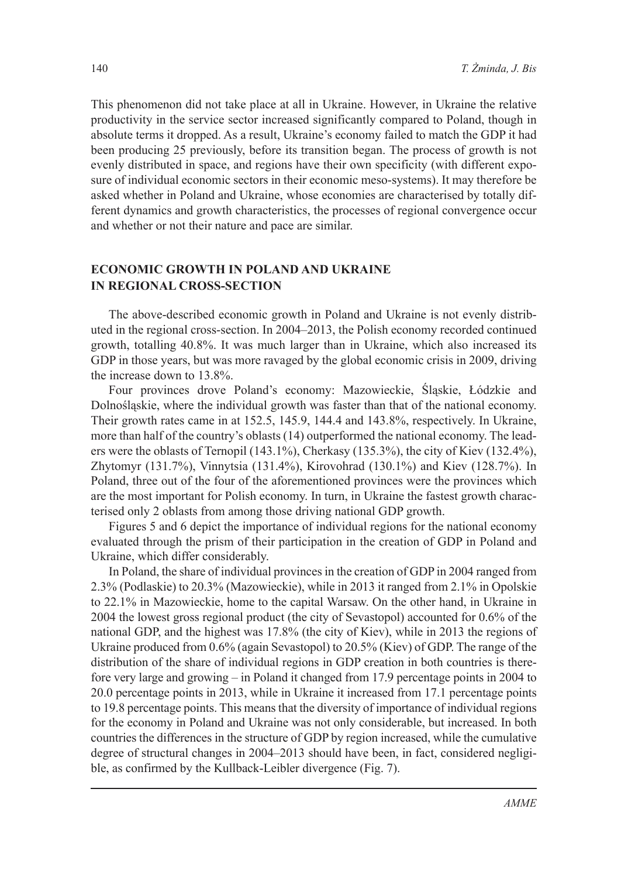This phenomenon did not take place at all in Ukraine. However, in Ukraine the relative productivity in the service sector increased significantly compared to Poland, though in absolute terms it dropped. As a result, Ukraine's economy failed to match the GDP it had been producing 25 previously, before its transition began. The process of growth is not evenly distributed in space, and regions have their own specificity (with different exposure of individual economic sectors in their economic meso-systems). It may therefore be asked whether in Poland and Ukraine, whose economies are characterised by totally different dynamics and growth characteristics, the processes of regional convergence occur and whether or not their nature and pace are similar.

## **ECONOMIC GROWTH IN POLAND AND UKRAINE IN REGIONAL CROSS-SECTION**

The above-described economic growth in Poland and Ukraine is not evenly distributed in the regional cross-section. In 2004–2013, the Polish economy recorded continued growth, totalling 40.8%. It was much larger than in Ukraine, which also increased its GDP in those years, but was more ravaged by the global economic crisis in 2009, driving the increase down to 13.8%.

Four provinces drove Poland's economy: Mazowieckie, ĝląskie, Łódzkie and DolnoĞląskie, where the individual growth was faster than that of the national economy. Their growth rates came in at 152.5, 145.9, 144.4 and 143.8%, respectively. In Ukraine, more than half of the country's oblasts (14) outperformed the national economy. The leaders were the oblasts of Ternopil (143.1%), Cherkasy (135.3%), the city of Kiev (132.4%), Zhytomyr (131.7%), Vinnytsia (131.4%), Kirovohrad (130.1%) and Kiev (128.7%). In Poland, three out of the four of the aforementioned provinces were the provinces which are the most important for Polish economy. In turn, in Ukraine the fastest growth characterised only 2 oblasts from among those driving national GDP growth.

Figures 5 and 6 depict the importance of individual regions for the national economy evaluated through the prism of their participation in the creation of GDP in Poland and Ukraine, which differ considerably.

In Poland, the share of individual provinces in the creation of GDP in 2004 ranged from 2.3% (Podlaskie) to 20.3% (Mazowieckie), while in 2013 it ranged from 2.1% in Opolskie to 22.1% in Mazowieckie, home to the capital Warsaw. On the other hand, in Ukraine in 2004 the lowest gross regional product (the city of Sevastopol) accounted for 0.6% of the national GDP, and the highest was 17.8% (the city of Kiev), while in 2013 the regions of Ukraine produced from 0.6% (again Sevastopol) to 20.5% (Kiev) of GDP. The range of the distribution of the share of individual regions in GDP creation in both countries is therefore very large and growing – in Poland it changed from 17.9 percentage points in 2004 to 20.0 percentage points in 2013, while in Ukraine it increased from 17.1 percentage points to 19.8 percentage points. This means that the diversity of importance of individual regions for the economy in Poland and Ukraine was not only considerable, but increased. In both countries the differences in the structure of GDP by region increased, while the cumulative degree of structural changes in 2004–2013 should have been, in fact, considered negligible, as confirmed by the Kullback-Leibler divergence (Fig. 7).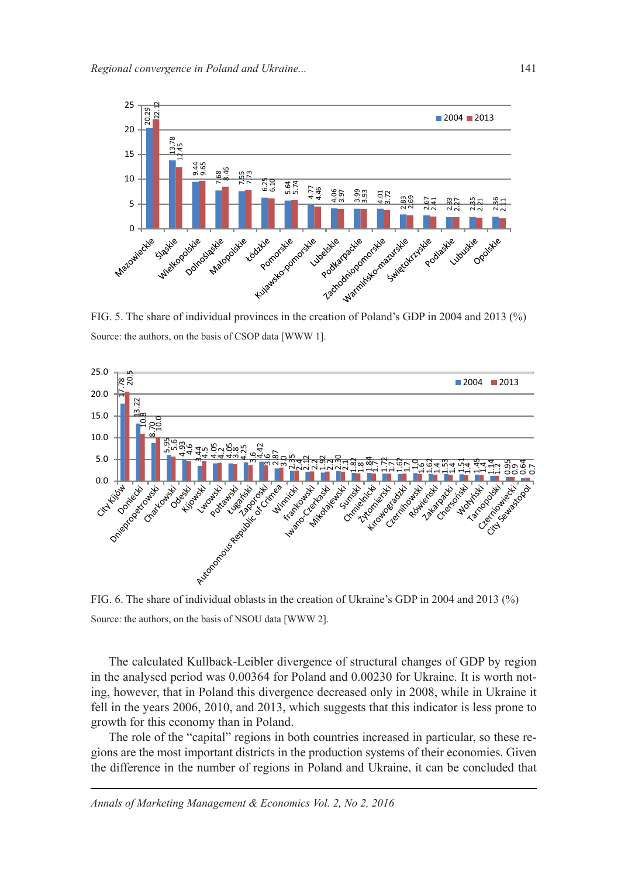

Source: the authors, on the basis of CSOP data [WWW 1].



FIG. 6. The share of individual oblasts in the creation of Ukraine's GDP in 2004 and 2013 (%) Source: the authors, on the basis of NSOU data [WWW 2].

The calculated Kullback-Leibler divergence of structural changes of GDP by region in the analysed period was 0.00364 for Poland and 0.00230 for Ukraine. It is worth noting, however, that in Poland this divergence decreased only in 2008, while in Ukraine it fell in the years 2006, 2010, and 2013, which suggests that this indicator is less prone to growth for this economy than in Poland.

The role of the "capital" regions in both countries increased in particular, so these regions are the most important districts in the production systems of their economies. Given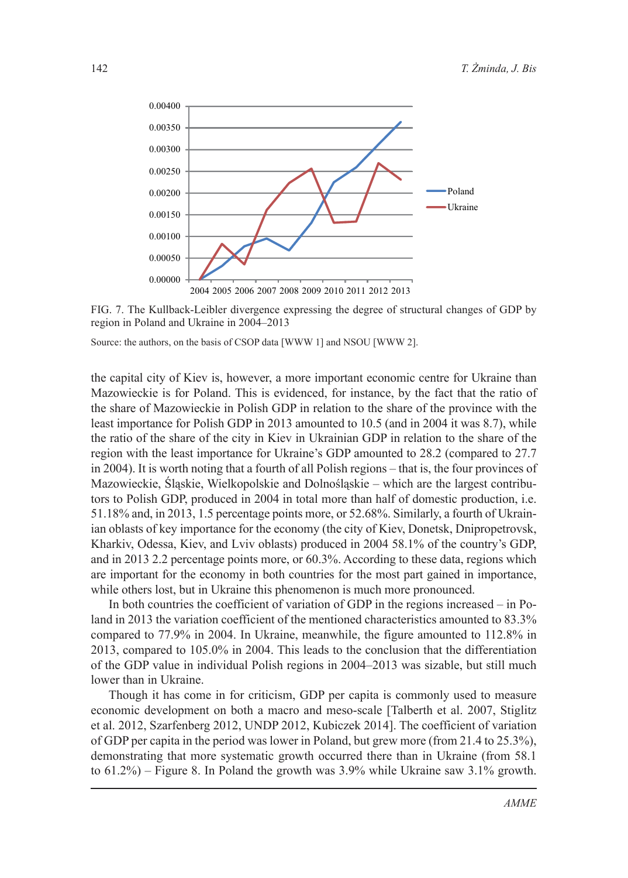

FIG. 7. The Kullback-Leibler divergence expressing the degree of structural changes of GDP by region in Poland and Ukraine in 2004–2013

Source: the authors, on the basis of CSOP data [WWW 1] and NSOU [WWW 2].

the capital city of Kiev is, however, a more important economic centre for Ukraine than Mazowieckie is for Poland. This is evidenced, for instance, by the fact that the ratio of the share of Mazowieckie in Polish GDP in relation to the share of the province with the least importance for Polish GDP in 2013 amounted to 10.5 (and in 2004 it was 8.7), while the ratio of the share of the city in Kiev in Ukrainian GDP in relation to the share of the region with the least importance for Ukraine's GDP amounted to 28.2 (compared to 27.7 in 2004). It is worth noting that a fourth of all Polish regions – that is, the four provinces of Mazowieckie, ĝląskie, Wielkopolskie and DolnoĞląskie – which are the largest contributors to Polish GDP, produced in 2004 in total more than half of domestic production, i.e. 51.18% and, in 2013, 1.5 percentage points more, or 52.68%. Similarly, a fourth of Ukrainian oblasts of key importance for the economy (the city of Kiev, Donetsk, Dnipropetrovsk, Kharkiv, Odessa, Kiev, and Lviv oblasts) produced in 2004 58.1% of the country's GDP, and in 2013 2.2 percentage points more, or 60.3%. According to these data, regions which are important for the economy in both countries for the most part gained in importance, while others lost, but in Ukraine this phenomenon is much more pronounced.

In both countries the coefficient of variation of GDP in the regions increased – in Poland in 2013 the variation coefficient of the mentioned characteristics amounted to 83.3% compared to 77.9% in 2004. In Ukraine, meanwhile, the figure amounted to 112.8% in 2013, compared to 105.0% in 2004. This leads to the conclusion that the differentiation of the GDP value in individual Polish regions in 2004–2013 was sizable, but still much lower than in Ukraine.

Though it has come in for criticism, GDP per capita is commonly used to measure economic development on both a macro and meso-scale [Talberth et al. 2007, Stiglitz et al. 2012, Szarfenberg 2012, UNDP 2012, Kubiczek 2014]. The coefficient of variation of GDP per capita in the period was lower in Poland, but grew more (from 21.4 to 25.3%), demonstrating that more systematic growth occurred there than in Ukraine (from 58.1 to 61.2%) – Figure 8. In Poland the growth was 3.9% while Ukraine saw 3.1% growth.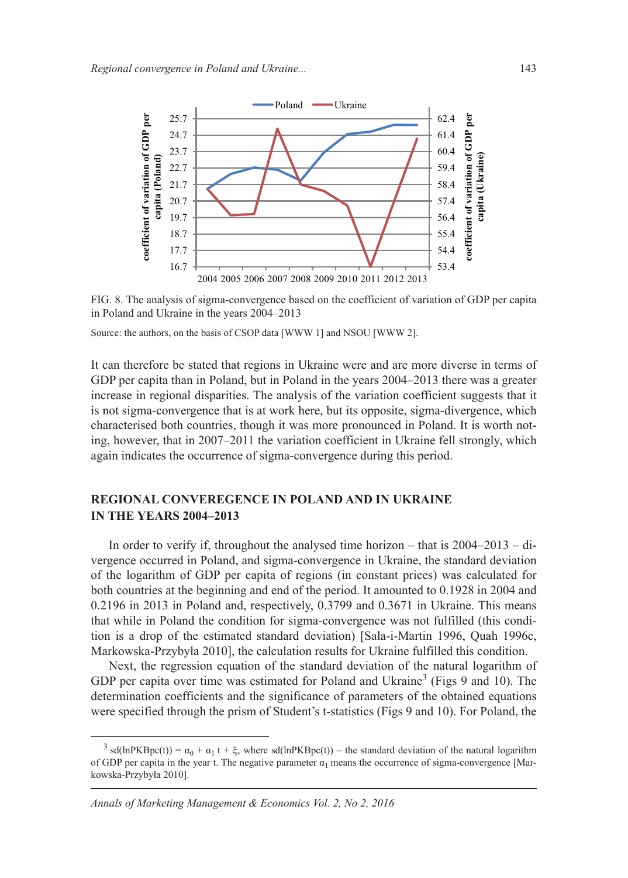

FIG. 8. The analysis of sigma-convergence based on the coefficient of variation of GDP per capita in Poland and Ukraine in the years 2004–2013

Source: the authors, on the basis of CSOP data [WWW 1] and NSOU [WWW 2].

It can therefore be stated that regions in Ukraine were and are more diverse in terms of GDP per capita than in Poland, but in Poland in the years 2004–2013 there was a greater increase in regional disparities. The analysis of the variation coefficient suggests that it is not sigma-convergence that is at work here, but its opposite, sigma-divergence, which characterised both countries, though it was more pronounced in Poland. It is worth noting, however, that in 2007–2011 the variation coefficient in Ukraine fell strongly, which again indicates the occurrence of sigma-convergence during this period.

## **REGIONAL CONVEREGENCE IN POLAND AND IN UKRAINE IN THE YEARS 2004–2013**

In order to verify if, throughout the analysed time horizon – that is 2004–2013 – divergence occurred in Poland, and sigma-convergence in Ukraine, the standard deviation of the logarithm of GDP per capita of regions (in constant prices) was calculated for both countries at the beginning and end of the period. It amounted to 0.1928 in 2004 and 0.2196 in 2013 in Poland and, respectively, 0.3799 and 0.3671 in Ukraine. This means that while in Poland the condition for sigma-convergence was not fulfilled (this condition is a drop of the estimated standard deviation) [Sala-i-Martin 1996, Quah 1996c, Markowska-Przybyła 2010], the calculation results for Ukraine fulfilled this condition.

Next, the regression equation of the standard deviation of the natural logarithm of GDP per capita over time was estimated for Poland and Ukraine<sup>3</sup> (Figs 9 and 10). The determination coefficients and the significance of parameters of the obtained equations were specified through the prism of Student's t-statistics (Figs 9 and 10). For Poland, the

 $3 \text{ sd}(\text{lnPKBpc}(t)) = \alpha_0 + \alpha_1 t + \xi$ , where sd(lnPKBpc(t)) – the standard deviation of the natural logarithm of GDP per capita in the year t. The negative parameter  $\alpha_1$  means the occurrence of sigma-convergence [Markowska-Przybyła 2010].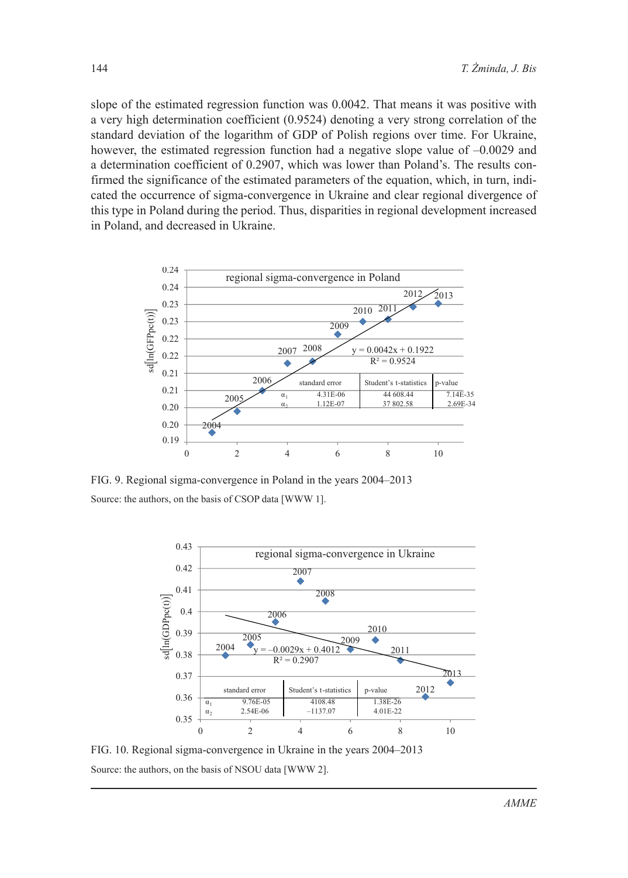slope of the estimated regression function was 0.0042. That means it was positive with a very high determination coefficient (0.9524) denoting a very strong correlation of the standard deviation of the logarithm of GDP of Polish regions over time. For Ukraine, however, the estimated regression function had a negative slope value of  $-0.0029$  and a determination coefficient of 0.2907, which was lower than Poland's. The results confirmed the significance of the estimated parameters of the equation, which, in turn, indicated the occurrence of sigma-convergence in Ukraine and clear regional divergence of this type in Poland during the period. Thus, disparities in regional development increased in Poland, and decreased in Ukraine.



FIG. 9. Regional sigma-convergence in Poland in the years 2004–2013 Source: the authors, on the basis of CSOP data [WWW 1].



FIG. 10. Regional sigma-convergence in Ukraine in the years 2004–2013 Source: the authors, on the basis of NSOU data [WWW 2].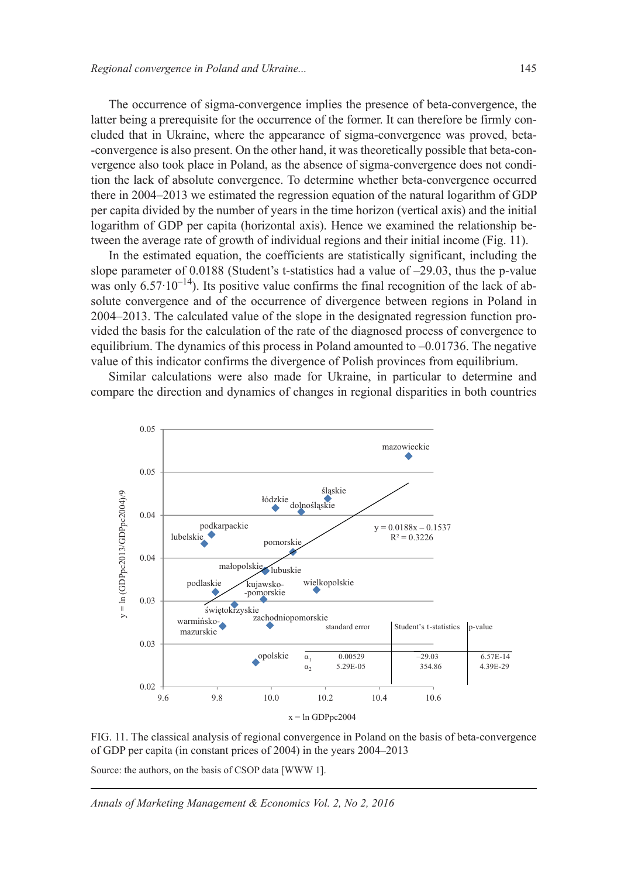The occurrence of sigma-convergence implies the presence of beta-convergence, the latter being a prerequisite for the occurrence of the former. It can therefore be firmly concluded that in Ukraine, where the appearance of sigma-convergence was proved, beta- -convergence is also present. On the other hand, it was theoretically possible that beta-convergence also took place in Poland, as the absence of sigma-convergence does not condition the lack of absolute convergence. To determine whether beta-convergence occurred there in 2004–2013 we estimated the regression equation of the natural logarithm of GDP per capita divided by the number of years in the time horizon (vertical axis) and the initial logarithm of GDP per capita (horizontal axis). Hence we examined the relationship between the average rate of growth of individual regions and their initial income (Fig. 11).

In the estimated equation, the coefficients are statistically significant, including the slope parameter of 0.0188 (Student's t-statistics had a value of –29.03, thus the p-value was only  $6.57 \cdot 10^{-14}$ ). Its positive value confirms the final recognition of the lack of absolute convergence and of the occurrence of divergence between regions in Poland in 2004–2013. The calculated value of the slope in the designated regression function provided the basis for the calculation of the rate of the diagnosed process of convergence to equilibrium. The dynamics of this process in Poland amounted to –0.01736. The negative value of this indicator confirms the divergence of Polish provinces from equilibrium.

Similar calculations were also made for Ukraine, in particular to determine and compare the direction and dynamics of changes in regional disparities in both countries



FIG. 11. The classical analysis of regional convergence in Poland on the basis of beta-convergence of GDP per capita (in constant prices of 2004) in the years 2004–2013

Source: the authors, on the basis of CSOP data [WWW 1].

*Annals of Marketing Management & Economics Vol. 2, No 2, 2016*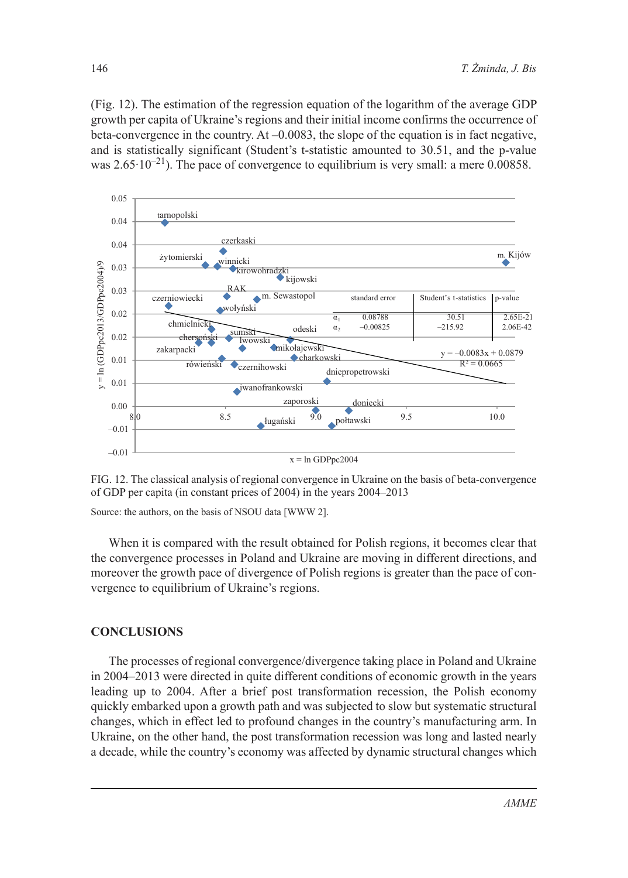(Fig. 12). The estimation of the regression equation of the logarithm of the average GDP growth per capita of Ukraine's regions and their initial income confirms the occurrence of beta-convergence in the country. At –0.0083, the slope of the equation is in fact negative, and is statistically significant (Student's t-statistic amounted to 30.51, and the p-value was  $2.65 \cdot 10^{-21}$ ). The pace of convergence to equilibrium is very small: a mere 0.00858.



FIG. 12. The classical analysis of regional convergence in Ukraine on the basis of beta-convergence of GDP per capita (in constant prices of 2004) in the years 2004–2013

Source: the authors, on the basis of NSOU data [WWW 2].

When it is compared with the result obtained for Polish regions, it becomes clear that the convergence processes in Poland and Ukraine are moving in different directions, and moreover the growth pace of divergence of Polish regions is greater than the pace of convergence to equilibrium of Ukraine's regions.

#### **CONCLUSIONS**

The processes of regional convergence/divergence taking place in Poland and Ukraine in 2004–2013 were directed in quite different conditions of economic growth in the years leading up to 2004. After a brief post transformation recession, the Polish economy quickly embarked upon a growth path and was subjected to slow but systematic structural changes, which in effect led to profound changes in the country's manufacturing arm. In Ukraine, on the other hand, the post transformation recession was long and lasted nearly a decade, while the country's economy was affected by dynamic structural changes which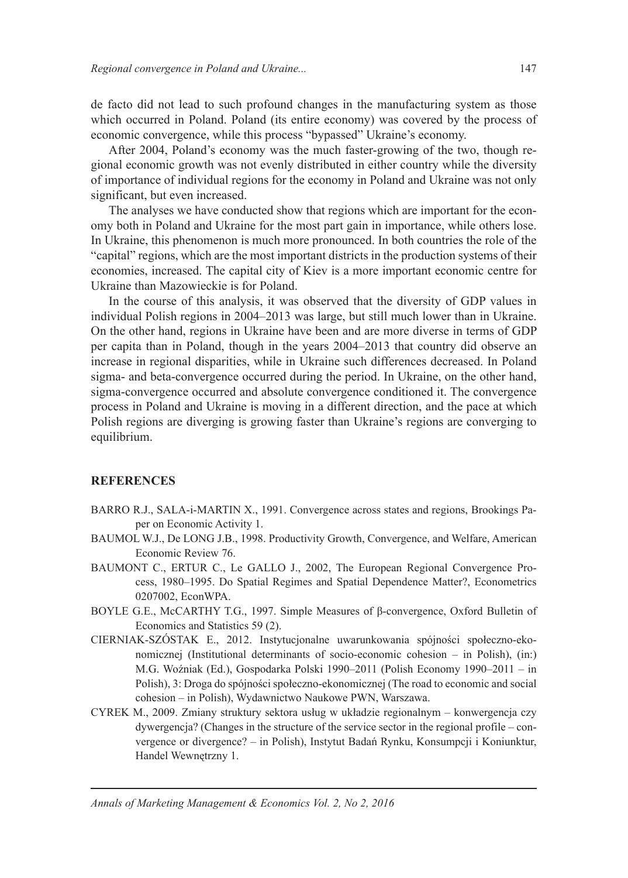de facto did not lead to such profound changes in the manufacturing system as those which occurred in Poland. Poland (its entire economy) was covered by the process of economic convergence, while this process "bypassed" Ukraine's economy.

After 2004, Poland's economy was the much faster-growing of the two, though regional economic growth was not evenly distributed in either country while the diversity of importance of individual regions for the economy in Poland and Ukraine was not only significant, but even increased.

The analyses we have conducted show that regions which are important for the economy both in Poland and Ukraine for the most part gain in importance, while others lose. In Ukraine, this phenomenon is much more pronounced. In both countries the role of the "capital" regions, which are the most important districts in the production systems of their economies, increased. The capital city of Kiev is a more important economic centre for Ukraine than Mazowieckie is for Poland.

In the course of this analysis, it was observed that the diversity of GDP values in individual Polish regions in 2004–2013 was large, but still much lower than in Ukraine. On the other hand, regions in Ukraine have been and are more diverse in terms of GDP per capita than in Poland, though in the years 2004–2013 that country did observe an increase in regional disparities, while in Ukraine such differences decreased. In Poland sigma- and beta-convergence occurred during the period. In Ukraine, on the other hand, sigma-convergence occurred and absolute convergence conditioned it. The convergence process in Poland and Ukraine is moving in a different direction, and the pace at which Polish regions are diverging is growing faster than Ukraine's regions are converging to equilibrium.

#### **REFERENCES**

- BARRO R.J., SALA-i-MARTIN X., 1991. Convergence across states and regions, Brookings Paper on Economic Activity 1.
- BAUMOL W.J., De LONG J.B., 1998. Productivity Growth, Convergence, and Welfare, American Economic Review 76.
- BAUMONT C., ERTUR C., Le GALLO J., 2002, The European Regional Convergence Process, 1980–1995. Do Spatial Regimes and Spatial Dependence Matter?, Econometrics 0207002, EconWPA.
- BOYLE G.E., McCARTHY T.G., 1997. Simple Measures of β-convergence, Oxford Bulletin of Economics and Statistics 59 (2).
- CIERNIAK-SZÓSTAK E., 2012. Instytucjonalne uwarunkowania spójnoĞci społeczno-ekonomicznej (Institutional determinants of socio-economic cohesion – in Polish), (in:) M.G. Woźniak (Ed.), Gospodarka Polski 1990–2011 (Polish Economy 1990–2011 – in Polish), 3: Droga do spójności społeczno-ekonomicznej (The road to economic and social cohesion – in Polish), Wydawnictwo Naukowe PWN, Warszawa.
- CYREK M., 2009. Zmiany struktury sektora usług w układzie regionalnym konwergencja czy dywergencja? (Changes in the structure of the service sector in the regional profile – convergence or divergence? – in Polish), Instytut Badań Rynku, Konsumpcji i Koniunktur, Handel Wewnetrzny 1.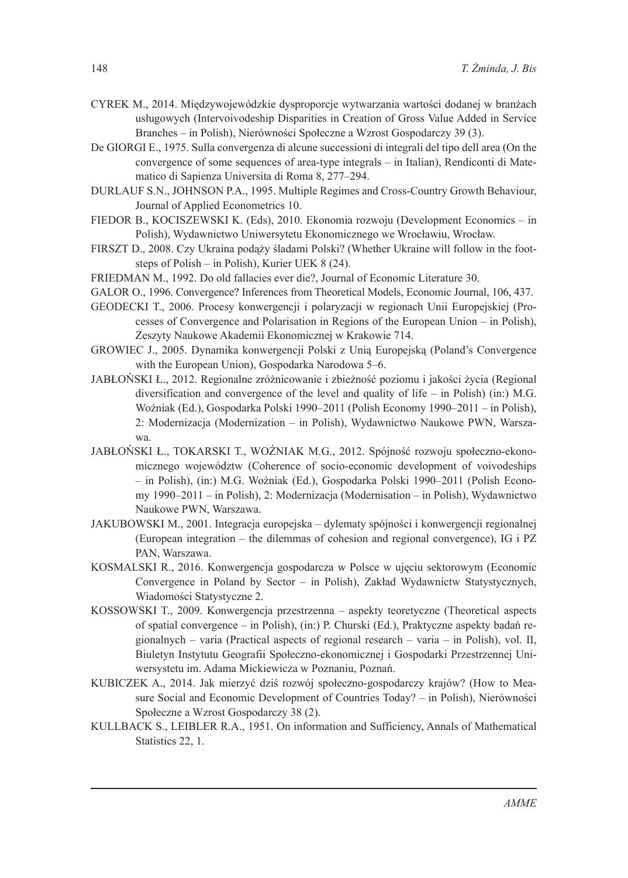- CYREK M., 2014. Miedzywojewódzkie dysproporcje wytwarzania wartości dodanej w branżach usługowych (Intervoivodeship Disparities in Creation of Gross Value Added in Service Branches – in Polish), NierównoĞci Społeczne a Wzrost Gospodarczy 39 (3).
- De GIORGI E., 1975. Sulla convergenza di alcune successioni di integrali del tipo dell area (On the convergence of some sequences of area-type integrals – in Italian), Rendiconti di Matematico di Sapienza Universita di Roma 8, 277–294.
- DURLAUF S.N., JOHNSON P.A., 1995. Multiple Regimes and Cross-Country Growth Behaviour, Journal of Applied Econometrics 10.
- FIEDOR B., KOCISZEWSKI K. (Eds), 2010. Ekonomia rozwoju (Development Economics in Polish), Wydawnictwo Uniwersytetu Ekonomicznego we Wrocławiu, Wrocław.
- FIRSZT D., 2008. Czy Ukraina podąży śladami Polski? (Whether Ukraine will follow in the footsteps of Polish – in Polish), Kurier UEK 8 (24).
- FRIEDMAN M., 1992. Do old fallacies ever die?, Journal of Economic Literature 30.
- GALOR O., 1996. Convergence? Inferences from Theoretical Models, Economic Journal, 106, 437.
- GEODECKI T., 2006. Procesy konwergencji i polaryzacji w regionach Unii Europejskiej (Processes of Convergence and Polarisation in Regions of the European Union – in Polish), Zeszyty Naukowe Akademii Ekonomicznej w Krakowie 714.
- GROWIEC J., 2005. Dynamika konwergencji Polski z Unią Europejską (Poland's Convergence with the European Union), Gospodarka Narodowa 5–6.
- JABŁOŃSKI Ł., 2012. Regionalne zróżnicowanie i zbieżność poziomu i jakości życia (Regional diversification and convergence of the level and quality of life – in Polish) (in:) M.G. Woźniak (Ed.), Gospodarka Polski 1990–2011 (Polish Economy 1990–2011 – in Polish), 2: Modernizacja (Modernization – in Polish), Wydawnictwo Naukowe PWN, Warszawa.
- JABŁOŃSKI Ł., TOKARSKI T., WOŹNIAK M.G., 2012. Spójność rozwoju społeczno-ekonomicznego województw (Coherence of socio-economic development of voivodeships – in Polish), (in:) M.G. WoĨniak (Ed.), Gospodarka Polski 1990–2011 (Polish Economy 1990–2011 – in Polish), 2: Modernizacja (Modernisation – in Polish), Wydawnictwo Naukowe PWN, Warszawa.
- JAKUBOWSKI M., 2001. Integracja europejska dylematy spójnoĞci i konwergencji regionalnej (European integration – the dilemmas of cohesion and regional convergence), IG i PZ PAN, Warszawa.
- KOSMALSKI R., 2016. Konwergencja gospodarcza w Polsce w ujęciu sektorowym (Economic Convergence in Poland by Sector – in Polish), Zakład Wydawnictw Statystycznych, WiadomoĞci Statystyczne 2.
- KOSSOWSKI T., 2009. Konwergencja przestrzenna aspekty teoretyczne (Theoretical aspects of spatial convergence – in Polish), (in:) P. Churski (Ed.), Praktyczne aspekty badań regionalnych – varia (Practical aspects of regional research – varia – in Polish), vol. II, Biuletyn Instytutu Geografii Społeczno-ekonomicznej i Gospodarki Przestrzennej Uniwersystetu im. Adama Mickiewicza w Poznaniu, Poznań.
- KUBICZEK A., 2014. Jak mierzyć dziś rozwój społeczno-gospodarczy krajów? (How to Measure Social and Economic Development of Countries Today? – in Polish), Nierówności Społeczne a Wzrost Gospodarczy 38 (2).
- KULLBACK S., LEIBLER R.A., 1951. On information and Sufficiency, Annals of Mathematical Statistics 22, 1.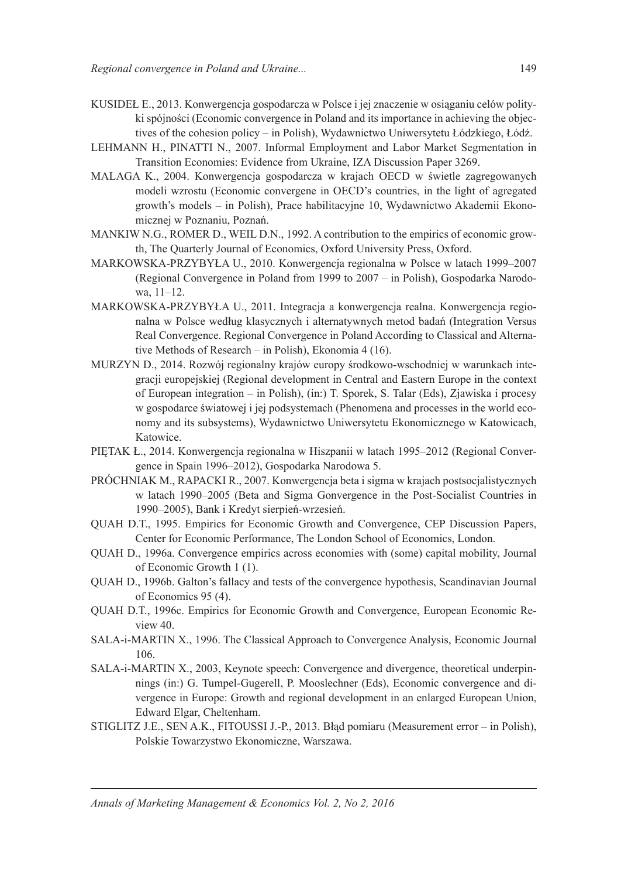- KUSIDEŁ E., 2013. Konwergencja gospodarcza w Polsce i jej znaczenie w osiąganiu celów polityki spójności (Economic convergence in Poland and its importance in achieving the objectives of the cohesion policy – in Polish), Wydawnictwo Uniwersytetu Łódzkiego, Łódź.
- LEHMANN H., PINATTI N., 2007. Informal Employment and Labor Market Segmentation in Transition Economies: Evidence from Ukraine, IZA Discussion Paper 3269.
- MALAGA K., 2004. Konwergencja gospodarcza w krajach OECD w Ğwietle zagregowanych modeli wzrostu (Economic convergene in OECD's countries, in the light of agregated growth's models – in Polish), Prace habilitacyjne 10, Wydawnictwo Akademii Ekonomicznej w Poznaniu, Poznań.
- MANKIW N.G., ROMER D., WEIL D.N., 1992. A contribution to the empirics of economic growth, The Quarterly Journal of Economics, Oxford University Press, Oxford.
- MARKOWSKA-PRZYBYŁA U., 2010. Konwergencja regionalna w Polsce w latach 1999–2007 (Regional Convergence in Poland from 1999 to 2007 – in Polish), Gospodarka Narodowa, 11–12.
- MARKOWSKA-PRZYBYŁA U., 2011. Integracja a konwergencja realna. Konwergencja regionalna w Polsce według klasycznych i alternatywnych metod badań (Integration Versus Real Convergence. Regional Convergence in Poland According to Classical and Alternative Methods of Research – in Polish), Ekonomia 4 (16).
- MURZYN D., 2014. Rozwój regionalny krajów europy środkowo-wschodniej w warunkach integracji europejskiej (Regional development in Central and Eastern Europe in the context of European integration – in Polish), (in:) T. Sporek, S. Talar (Eds), Zjawiska i procesy w gospodarce Ğwiatowej i jej podsystemach (Phenomena and processes in the world economy and its subsystems), Wydawnictwo Uniwersytetu Ekonomicznego w Katowicach, Katowice.
- PIETAK Ł., 2014. Konwergencja regionalna w Hiszpanii w latach 1995–2012 (Regional Convergence in Spain 1996–2012), Gospodarka Narodowa 5.
- PRÓCHNIAK M., RAPACKI R., 2007. Konwergencja beta i sigma w krajach postsocjalistycznych w latach 1990–2005 (Beta and Sigma Gonvergence in the Post-Socialist Countries in 1990–2005), Bank i Kredyt sierpień-wrzesień.
- QUAH D.T., 1995. Empirics for Economic Growth and Convergence, CEP Discussion Papers, Center for Economic Performance, The London School of Economics, London.
- QUAH D., 1996a. Convergence empirics across economies with (some) capital mobility, Journal of Economic Growth 1 (1).
- QUAH D., 1996b. Galton's fallacy and tests of the convergence hypothesis, Scandinavian Journal of Economics 95 (4).
- QUAH D.T., 1996c. Empirics for Economic Growth and Convergence, European Economic Review 40.
- SALA-i-MARTIN X., 1996. The Classical Approach to Convergence Analysis, Economic Journal 106.
- SALA-i-MARTIN X., 2003, Keynote speech: Convergence and divergence, theoretical underpinnings (in:) G. Tumpel-Gugerell, P. Mooslechner (Eds), Economic convergence and divergence in Europe: Growth and regional development in an enlarged European Union, Edward Elgar, Cheltenham.
- STIGLITZ J.E., SEN A.K., FITOUSSI J.-P., 2013. Błąd pomiaru (Measurement error in Polish), Polskie Towarzystwo Ekonomiczne, Warszawa.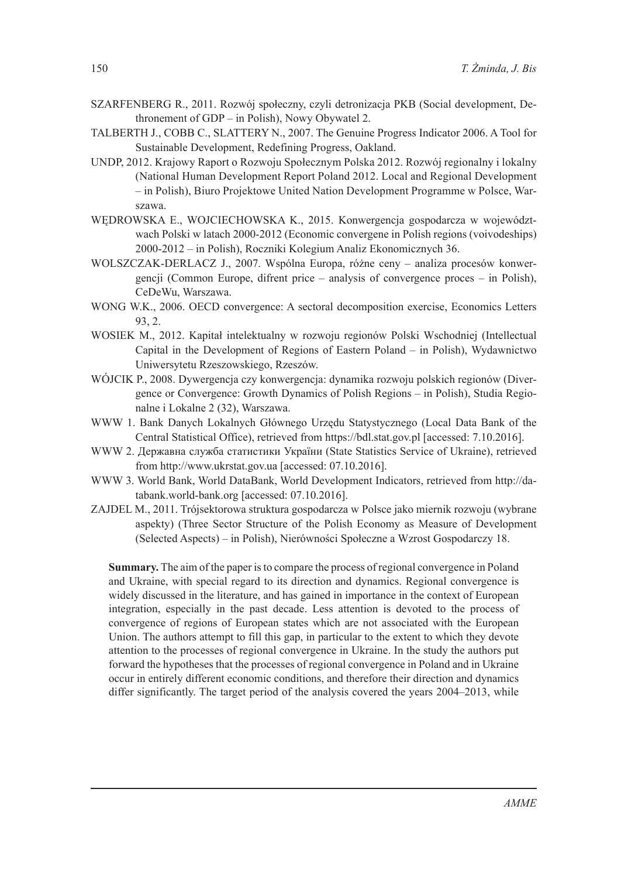- SZARFENBERG R., 2011. Rozwój społeczny, czyli detronizacja PKB (Social development, Dethronement of GDP – in Polish), Nowy Obywatel 2.
- TALBERTH J., COBB C., SLATTERY N., 2007. The Genuine Progress Indicator 2006. A Tool for Sustainable Development, Redefining Progress, Oakland.
- UNDP, 2012. Krajowy Raport o Rozwoju Społecznym Polska 2012. Rozwój regionalny i lokalny (National Human Development Report Poland 2012. Local and Regional Development – in Polish), Biuro Projektowe United Nation Development Programme w Polsce, Warszawa.
- WĉDROWSKA E., WOJCIECHOWSKA K., 2015. Konwergencja gospodarcza w województwach Polski w latach 2000-2012 (Economic convergene in Polish regions (voivodeships) 2000-2012 – in Polish), Roczniki Kolegium Analiz Ekonomicznych 36.
- WOLSZCZAK-DERLACZ J., 2007. Wspólna Europa, różne ceny analiza procesów konwergencji (Common Europe, difrent price – analysis of convergence proces – in Polish), CeDeWu, Warszawa.
- WONG W.K., 2006. OECD convergence: A sectoral decomposition exercise, Economics Letters 93, 2.
- WOSIEK M., 2012. Kapitał intelektualny w rozwoju regionów Polski Wschodniej (Intellectual Capital in the Development of Regions of Eastern Poland – in Polish), Wydawnictwo Uniwersytetu Rzeszowskiego, Rzeszów.
- WÓJCIK P., 2008. Dywergencja czy konwergencja: dynamika rozwoju polskich regionów (Divergence or Convergence: Growth Dynamics of Polish Regions – in Polish), Studia Regionalne i Lokalne 2 (32), Warszawa.
- WWW 1. Bank Danych Lokalnych Głównego Urzędu Statystycznego (Local Data Bank of the Central Statistical Office), retrieved from https://bdl.stat.gov.pl [accessed: 7.10.2016].
- WWW 2. Державна служба статистики України (State Statistics Service of Ukraine), retrieved from http://www.ukrstat.gov.ua [accessed: 07.10.2016].
- WWW 3. World Bank, World DataBank, World Development Indicators, retrieved from http://databank.world-bank.org [accessed: 07.10.2016].
- ZAJDEL M., 2011. Trójsektorowa struktura gospodarcza w Polsce jako miernik rozwoju (wybrane aspekty) (Three Sector Structure of the Polish Economy as Measure of Development (Selected Aspects) – in Polish), NierównoĞci Społeczne a Wzrost Gospodarczy 18.

**Summary.** The aim of the paper is to compare the process of regional convergence in Poland and Ukraine, with special regard to its direction and dynamics. Regional convergence is widely discussed in the literature, and has gained in importance in the context of European integration, especially in the past decade. Less attention is devoted to the process of convergence of regions of European states which are not associated with the European Union. The authors attempt to fill this gap, in particular to the extent to which they devote attention to the processes of regional convergence in Ukraine. In the study the authors put forward the hypotheses that the processes of regional convergence in Poland and in Ukraine occur in entirely different economic conditions, and therefore their direction and dynamics differ significantly. The target period of the analysis covered the years 2004–2013, while